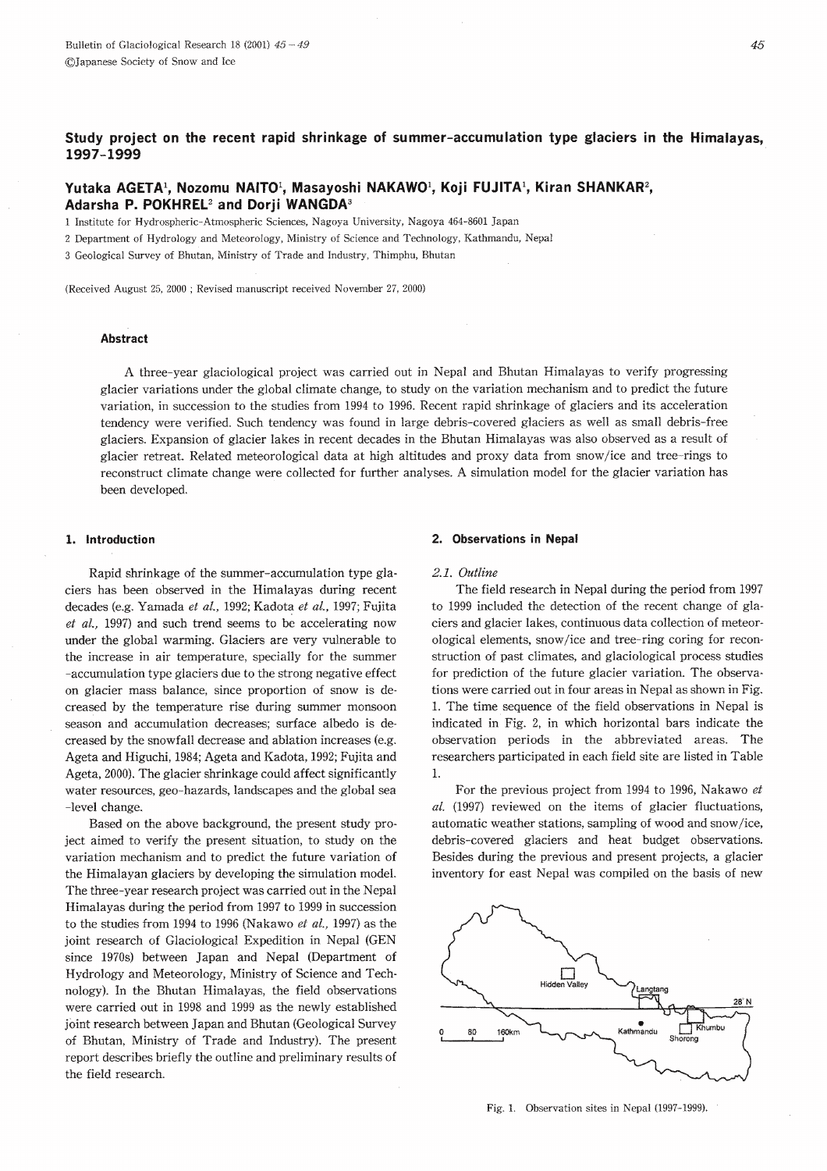# Study project on the recent rapid shrinkage of summer-accumulation type glaciers in the Himalayas, 1997-1999

# Yutaka AGETA<sup>1</sup>, Nozomu NAITO<sup>1</sup>, Masayoshi NAKAWO<sup>1</sup>, Koji FUJITA<sup>1</sup>, Kiran SHANKAR<sup>2</sup>, Adarsha P. POKHREL<sup>2</sup> and Dorji WANGDA<sup>3</sup>

1 Institute for Hydrospheric-Atmospheric Sciences, Nagoya University, Nagoya 464-8601 Japan

2 Department of Hydrology and Meteorology, Ministry of Science and Technology, Kathmandu, Nepal

3 Geological Survey of Bhutan, Ministry of Trade and Industry, Thimphu, Bhutan

(Received August 25, 2000 ; Revised manuscript received November 27, 2000)

## **Abstract**

A three-year glaciological project was carried out in Nepal and Bhutan Himalayas to verify progressing glacier variations under the global climate change, to study on the variation mechanism and to predict the future variation, in succession to the studies from 1994 to 1996. Recent rapid shrinkage of glaciers and its acceleration tendency were verified. Such tendency was found in large debris-covered glaciers as well as small debris-free glaciers. Expansion of glacier lakes in recent decades in the Bhutan Himalayas was also observed as a result of glacier retreat. Related meteorological data at high altitudes and proxy data from snow/ice and tree-rings to reconstruct climate change were collected for further analyses. A simulation model for the glacier variation has been developed.

## 1. Introduction

Rapid shrinkage of the summer-accumulation type glaciers has been observed in the Himalayas during recent decades (e.g. Yamada et al., 1992; Kadota et al., 1997; Fujita et al., 1997) and such trend seems to be accelerating now under the global warming. Glaciers are very vulnerable to the increase in air temperature, specially for the summer -accumulation type glaciers due to the strong negative effect on glacier mass balance, since proportion of snow is decreased by the temperature rise during summer monsoon season and accumulation decreases; surface albedo is decreased by the snowfall decrease and ablation increases (e.g. Ageta and Higuchi, 1984; Ageta and Kadota, 1992; Fujita and Ageta, 2000). The glacier shrinkage could affect significantly water resources, geo-hazards, landscapes and the global sea -level change.

Based on the above background, the present study project aimed to verify the present situation, to study on the variation mechanism and to predict the future variation of the Himalayan glaciers by developing the simulation model. The three-year research project was carried out in the Nepal Himalayas during the period from 1997 to 1999 in succession to the studies from 1994 to 1996 (Nakawo et al., 1997) as the joint research of Glaciological Expedition in Nepal (GEN since 1970s) between Japan and Nepal (Department of Hydrology and Meteorology, Ministry of Science and Technology). In the Bhutan Himalayas, the field observations were carried out in 1998 and 1999 as the newly established joint research between Japan and Bhutan (Geological Survey of Bhutan, Ministry of Trade and Industry). The present report describes briefly the outline and preliminary results of the field research.

# 2. Observations in Nepal

## 2.1. Outline

The field research in Nepal during the period from 1997 to 1999 included the detection of the recent change of glaciers and glacier lakes, continuous data collection of meteorological elements, snow/ice and tree-ring coring for reconstruction of past climates, and glaciological process studies for prediction of the future glacier variation. The observations were carried out in four areas in Nepal as shown in Fig. 1. The time sequence of the field observations in Nepal is indicated in Fig. 2, in which horizontal bars indicate the observation periods in the abbreviated areas. The researchers participated in each field site are listed in Table  $\mathbf{1}$ .

For the previous project from 1994 to 1996, Nakawo et al. (1997) reviewed on the items of glacier fluctuations, automatic weather stations, sampling of wood and snow/ice, debris-covered glaciers and heat budget observations. Besides during the previous and present projects, a glacier inventory for east Nepal was compiled on the basis of new



Fig. 1. Observation sites in Nepal (1997-1999).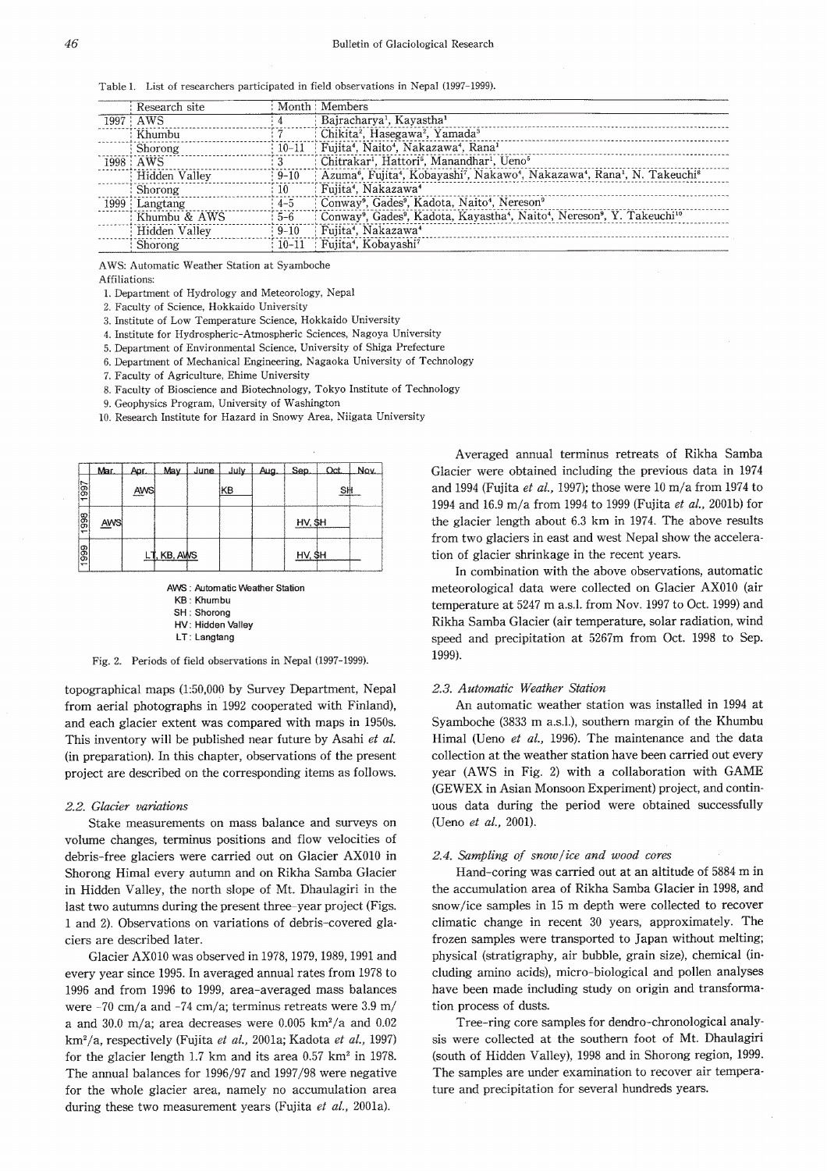Table 1. List of researchers participated in field observations in Nepal (1997-1999).

| Research site     |           | Month Members                                                                                                                                                  |
|-------------------|-----------|----------------------------------------------------------------------------------------------------------------------------------------------------------------|
| $1997$ AWS        |           | Bajracharya <sup>1</sup> , Kayastha <sup>1</sup>                                                                                                               |
| : Khumbu          |           | : Chikita <sup>2</sup> , Hasegawa <sup>2</sup> , Yamada <sup>3</sup>                                                                                           |
| : Shorong         |           | 10-11   Fujita <sup>4</sup> , Naito <sup>4</sup> , Nakazawa <sup>4</sup> , Rana <sup>1</sup>                                                                   |
| $1998:$ AWS       |           | : Chitrakar <sup>1</sup> , Hattori <sup>5</sup> , Manandhar <sup>1</sup> , Ueno <sup>5</sup>                                                                   |
| Hidden Valley     | $9 - 10$  | Azuma <sup>6</sup> , Fujita <sup>4</sup> , Kobayashi <sup>7</sup> , Nakawo <sup>4</sup> , Nakazawa <sup>4</sup> , Rana <sup>1</sup> , N. Takeuchi <sup>8</sup> |
| : Shorong         | : 10      | : Fujita <sup>4</sup> , Nakazawa <sup>4</sup>                                                                                                                  |
| $1999$ : Langtang | $4 - 5$   | Conway <sup>9</sup> , Gades <sup>9</sup> , Kadota, Naito <sup>4</sup> , Nereson <sup>9</sup>                                                                   |
| Khumbu & AWS      | $5 - 6$   | Conway <sup>9</sup> , Gades <sup>9</sup> , Kadota, Kayastha <sup>4</sup> , Naito <sup>4</sup> , Nereson <sup>9</sup> , Y. Takeuchi <sup>10</sup>               |
| Hidden Valley     | $-9-10$   | Fujita <sup>4</sup> , Nakazawa <sup>4</sup>                                                                                                                    |
| Shorong           | $10 - 11$ | : Fujita <sup>4</sup> , Kobayashi <sup>7</sup>                                                                                                                 |

AWS: Automatic Weather Station at Syamboche

**Affiliations** 

1. Department of Hydrology and Meteorology, Nepal

2. Faculty of Science, Hokkaido University

3. Institute of Low Temperature Science, Hokkaido University

4. Institute for Hydrospheric-Atmospheric Sciences, Nagoya University

5. Department of Environmental Science, University of Shiga Prefecture

6. Department of Mechanical Engineering, Nagaoka University of Technology

7. Faculty of Agriculture, Ehime University

8. Faculty of Bioscience and Biotechnology, Tokyo Institute of Technology

9. Geophysics Program, University of Washington

10. Research Institute for Hazard in Snowy Area, Niigata University

|      | Mar        | Anr. | Mav         | June | July | Aug. | Sen       | Oct. | Nov |
|------|------------|------|-------------|------|------|------|-----------|------|-----|
| 1997 |            | AWS  |             |      | KB   |      |           | S₩   |     |
| 1998 | <b>AWS</b> |      |             |      |      |      | $HV,$ \$H |      |     |
| 1999 |            |      | LT, KB, AWS |      |      |      | HV, \$H   |      |     |

AWS: Automatic Weather Station **KB: Khumbu** SH : Shorong HV: Hidden Valley LT: Langtang

Fig. 2. Periods of field observations in Nepal (1997-1999).

topographical maps (1:50,000 by Survey Department, Nepal from aerial photographs in 1992 cooperated with Finland), and each glacier extent was compared with maps in 1950s. This inventory will be published near future by Asahi et al. (in preparation). In this chapter, observations of the present project are described on the corresponding items as follows.

#### 2.2. Glacier variations

Stake measurements on mass balance and surveys on volume changes, terminus positions and flow velocities of debris-free glaciers were carried out on Glacier AX010 in Shorong Himal every autumn and on Rikha Samba Glacier in Hidden Valley, the north slope of Mt. Dhaulagiri in the last two autumns during the present three-year project (Figs. 1 and 2). Observations on variations of debris-covered glaciers are described later.

Glacier AX010 was observed in 1978, 1979, 1989, 1991 and every year since 1995. In averaged annual rates from 1978 to 1996 and from 1996 to 1999, area-averaged mass balances were  $-70$  cm/a and  $-74$  cm/a; terminus retreats were 3.9 m/ a and 30.0 m/a; area decreases were 0.005 km<sup>2</sup>/a and 0.02 km<sup>2</sup>/a, respectively (Fujita et al., 2001a; Kadota et al., 1997) for the glacier length 1.7 km and its area  $0.57$  km<sup>2</sup> in 1978. The annual balances for 1996/97 and 1997/98 were negative for the whole glacier area, namely no accumulation area during these two measurement years (Fujita et al., 2001a).

Averaged annual terminus retreats of Rikha Samba Glacier were obtained including the previous data in 1974 and 1994 (Fujita et al., 1997); those were 10 m/a from 1974 to 1994 and 16.9 m/a from 1994 to 1999 (Fujita et al., 2001b) for the glacier length about 6.3 km in 1974. The above results from two glaciers in east and west Nepal show the acceleration of glacier shrinkage in the recent years.

In combination with the above observations, automatic meteorological data were collected on Glacier AX010 (air temperature at 5247 m a.s.l. from Nov. 1997 to Oct. 1999) and Rikha Samba Glacier (air temperature, solar radiation, wind speed and precipitation at 5267m from Oct. 1998 to Sep. 1999).

## 2.3. Automatic Weather Station

An automatic weather station was installed in 1994 at Syamboche (3833 m a.s.l.), southern margin of the Khumbu Himal (Ueno et al., 1996). The maintenance and the data collection at the weather station have been carried out every year (AWS in Fig. 2) with a collaboration with GAME (GEWEX in Asian Monsoon Experiment) project, and continuous data during the period were obtained successfully (Ueno et al., 2001).

#### 2.4. Sampling of snow/ice and wood cores

Hand-coring was carried out at an altitude of 5884 m in the accumulation area of Rikha Samba Glacier in 1998, and snow/ice samples in 15 m depth were collected to recover climatic change in recent 30 years, approximately. The frozen samples were transported to Japan without melting; physical (stratigraphy, air bubble, grain size), chemical (including amino acids), micro-biological and pollen analyses have been made including study on origin and transformation process of dusts.

Tree-ring core samples for dendro-chronological analysis were collected at the southern foot of Mt. Dhaulagiri (south of Hidden Valley), 1998 and in Shorong region, 1999. The samples are under examination to recover air temperature and precipitation for several hundreds years.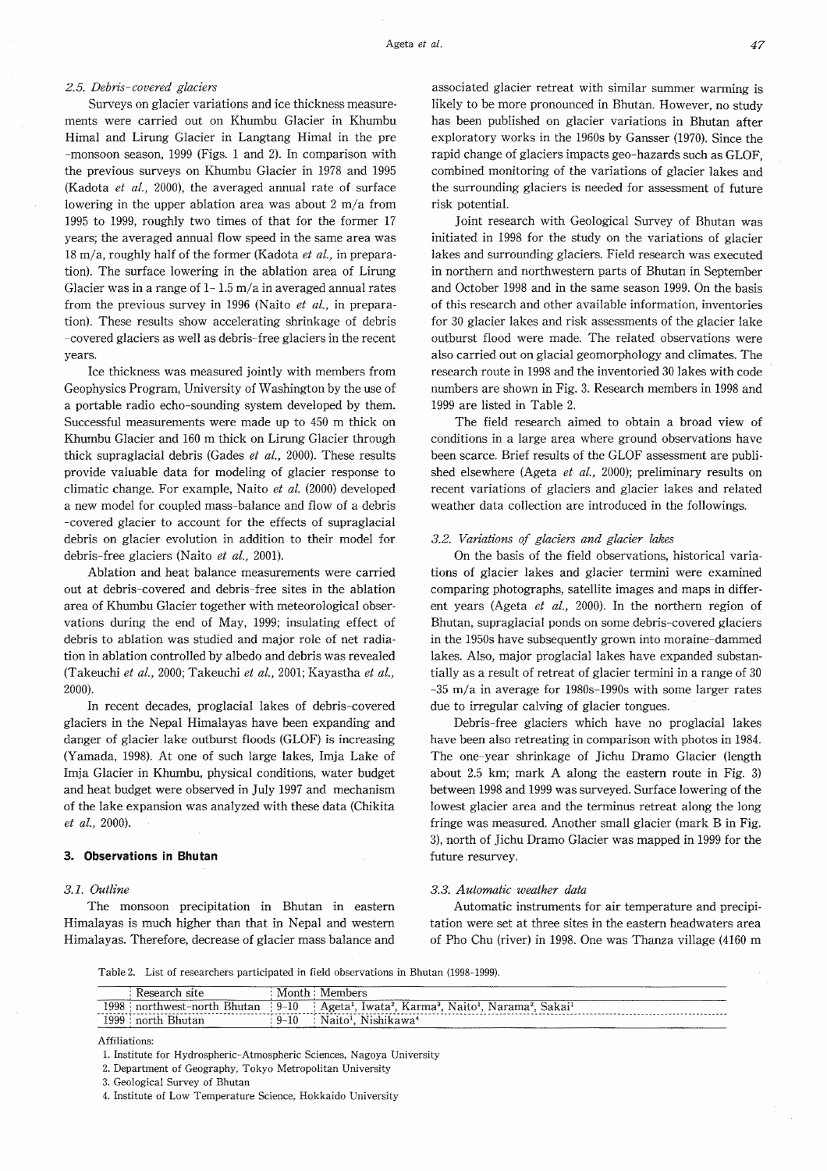# 2.5. Debris-covered glaciers

Surveys on glacier variations and ice thickness measurements were carried out on Khumbu Glacier in Khumbu Himal and Lirung Glacier in Langtang Himal in the pre -monsoon season, 1999 (Figs. 1 and 2). In comparison with the previous surveys on Khumbu Glacier in 1978 and 1995 (Kadota et al., 2000), the averaged annual rate of surface lowering in the upper ablation area was about  $2 \text{ m/a}$  from 1995 to 1999, roughly two times of that for the former 17 years; the averaged annual flow speed in the same area was  $18 \text{ m/a}$ , roughly half of the former (Kadota *et al.*, in preparation). The surface lowering in the ablation area of Lirung Glacier was in a range of  $1-1.5$  m/a in averaged annual rates from the previous survey in 1996 (Naito et al., in preparation). These results show accelerating shrinkage of debris -covered glaciers as well as debris-free glaciers in the recent years.

Ice thickness was measured jointly with members from Geophysics Program, University of Washington by the use of a portable radio echo-sounding system developed by them. Successful measurements were made up to 450 m thick on Khumbu Glacier and 160 m thick on Lirung Glacier through thick supraglacial debris (Gades et al., 2000). These results provide valuable data for modeling of glacier response to climatic change. For example, Naito et al.  $(2000)$  developed a new model for coupled mass-balance and flow of a debris -covered glacier to account for the effects of supraglacial debris on glacier evolution in addition to their model for debris-free glaciers (Naito et al., 2001).

Ablation and heat balance measurements were carried out at debris-covered and debris-free sites in the ablation area of Khumbu Glacier together with meteorological observations during the end of May, 1999; insulating effect of debris to ablation was studied and major role of net radiation in ablation controlled by albedo and debris was revealed (Takeuchi et al., 2000; Takeuchi et al., 2001; Kayastha et al., 2000).

In recent decades, proglacial lakes of debris-covered glaciers in the Nepal Himalayas have been expanding and danger of glacier lake outburst floods (GLOF) is increasing (Yamada, 1998). At one of such large lakes, Imja Lake of Imja Glacier in Khumbu, physical conditions, water budget and heat budget were observed in July 1997 and mechanism of the lake expansion was analyzed with these data (Chikita et al., 2000).

## 3. Observations in Bhutan

# 3.1. Outline

The monsoon precipitation in Bhutan in eastern Himalayas is much higher than that in Nepal and western Himalayas. Therefore, decrease of glacier mass balance and risk potential. Joint research with Geological Survey of Bhutan was initiated in 1998 for the study on the variations of glacier lakes and surrounding glaciers. Field research was executed in northern and northwestern parts of Bhutan in September and October 1998 and in the same season 1999. On the basis of this research and other available information, inventories for 30 glacier lakes and risk assessments of the glacier lake outburst flood were made. The related observations were also carried out on glacial geomorphology and climates. The research route in 1998 and the inventoried 30 lakes with code numbers are shown in Fig. 3. Research members in 1998 and 1999 are listed in Table 2.

the surrounding glaciers is needed for assessment of future

The field research aimed to obtain a broad view of conditions in a large area where ground observations have been scarce. Brief results of the GLOF assessment are published elsewhere (Ageta et al., 2000); preliminary results on recent variations of glaciers and glacier lakes and related weather data collection are introduced in the followings.

## 3.2. Variations of glaciers and glacier lakes

On the basis of the field observations, historical variations of glacier lakes and glacier termini were examined comparing photographs, satellite images and maps in different years (Ageta et al., 2000). In the northern region of Bhutan, supraglacial ponds on some debris-covered glaciers in the 1950s have subsequently grown into moraine-dammed lakes. Also, major proglacial lakes have expanded substantially as a result of retreat of glacier termini in a range of 30  $-35$  m/a in average for 1980s-1990s with some larger rates due to irregular calving of glacier tongues.

Debris-free glaciers which have no proglacial lakes have been also retreating in comparison with photos in 1984. The one-year shrinkage of Jichu Dramo Glacier (length about 2.5 km; mark A along the eastern route in Fig. 3) between 1998 and 1999 was surveyed. Surface lowering of the lowest glacier area and the terminus retreat along the long fringe was measured. Another small glacier (mark B in Fig. 3), north of Jichu Dramo Glacier was mapped in 1999 for the future resurvey.

## 3.3. Automatic weather data

Automatic instruments for air temperature and precipitation were set at three sites in the eastern headwaters area of Pho Chu (river) in 1998. One was Thanza village (4160 m

Table 2. List of researchers participated in field observations in Bhutan (1998-1999).

|                       | site<br><b>Research</b>  | Month    | Members<br>__________<br>--------                                                                                          |
|-----------------------|--------------------------|----------|----------------------------------------------------------------------------------------------------------------------------|
| 1998                  | ' northwest-north Bhutan | $-9-10$  | Naito <sup>1</sup><br>Sakai'<br>Iwata <sup>2</sup> , Karma <sup>3</sup> ,<br>Ageta <sup>1</sup> ,<br>Narama'.<br>--------- |
| 1999<br>_____________ | Bhutan<br>north          | $9 - 10$ | Nishikawa <sup>4</sup><br>Naito <sup>1</sup>                                                                               |

Affiliations:

<sup>1.</sup> Institute for Hydrospheric-Atmospheric Sciences, Nagoya University

<sup>2.</sup> Department of Geography, Tokyo Metropolitan University

<sup>3.</sup> Geological Survey of Bhutan

<sup>4.</sup> Institute of Low Temperature Science, Hokkaido University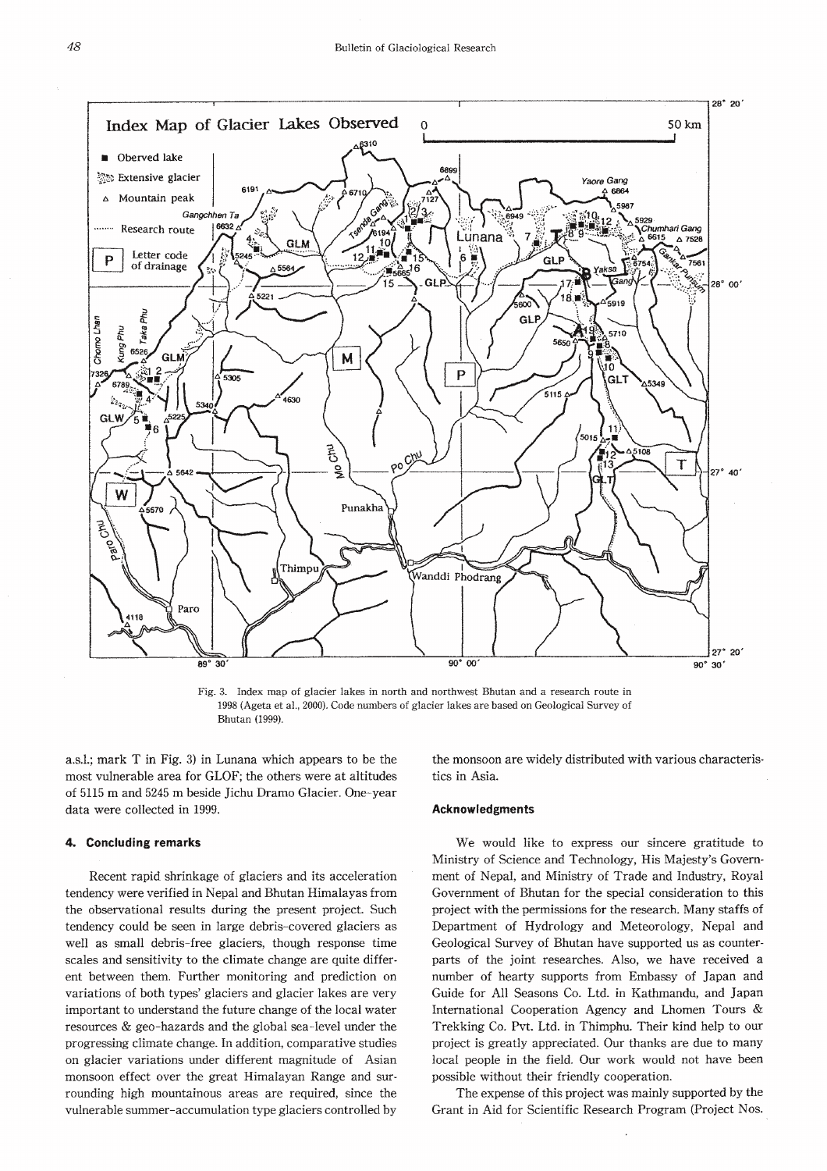

Fig. 3. Index map of glacier lakes in north and northwest Bhutan and a research route in 1998 (Ageta et al., 2000). Code numbers of glacier lakes are based on Geological Survey of Bhutan (1999).

a.s.l.; mark T in Fig. 3) in Lunana which appears to be the most vulnerable area for GLOF; the others were at altitudes of 5115 m and 5245 m beside Jichu Dramo Glacier. One-year data were collected in 1999.

#### **Concluding remarks** 4.

Recent rapid shrinkage of glaciers and its acceleration tendency were verified in Nepal and Bhutan Himalayas from the observational results during the present project. Such tendency could be seen in large debris-covered glaciers as well as small debris-free glaciers, though response time scales and sensitivity to the climate change are quite different between them. Further monitoring and prediction on variations of both types' glaciers and glacier lakes are very important to understand the future change of the local water resources & geo-hazards and the global sea-level under the progressing climate change. In addition, comparative studies on glacier variations under different magnitude of Asian monsoon effect over the great Himalayan Range and surrounding high mountainous areas are required, since the vulnerable summer-accumulation type glaciers controlled by

the monsoon are widely distributed with various characteristics in Asia.

## **Acknowledgments**

We would like to express our sincere gratitude to Ministry of Science and Technology, His Majesty's Government of Nepal, and Ministry of Trade and Industry, Royal Government of Bhutan for the special consideration to this project with the permissions for the research. Many staffs of Department of Hydrology and Meteorology, Nepal and Geological Survey of Bhutan have supported us as counterparts of the joint researches. Also, we have received a number of hearty supports from Embassy of Japan and Guide for All Seasons Co. Ltd. in Kathmandu, and Japan International Cooperation Agency and Lhomen Tours & Trekking Co. Pvt. Ltd. in Thimphu. Their kind help to our project is greatly appreciated. Our thanks are due to many local people in the field. Our work would not have been possible without their friendly cooperation.

The expense of this project was mainly supported by the Grant in Aid for Scientific Research Program (Project Nos.